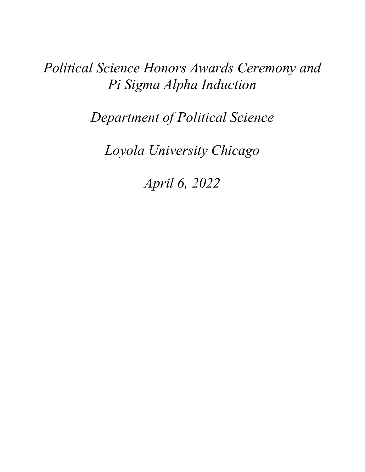# *Political Science Honors Awards Ceremony and Pi Sigma Alpha Induction*

*Department of Political Science*

*Loyola University Chicago*

*April 6, 2022*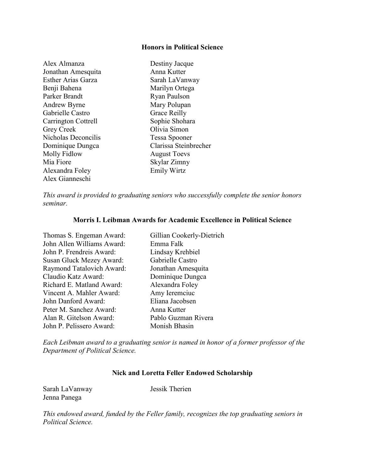## **Honors in Political Science**

| Alex Almanza              | Destiny Jacque        |
|---------------------------|-----------------------|
| Jonathan Amesquita        | Anna Kutter           |
| <b>Esther Arias Garza</b> | Sarah LaVanway        |
| Benji Bahena              | Marilyn Ortega        |
| Parker Brandt             | Ryan Paulson          |
| Andrew Byrne              | Mary Polupan          |
| Gabrielle Castro          | Grace Reilly          |
| Carrington Cottrell       | Sophie Shohara        |
| <b>Grey Creek</b>         | Olivia Simon          |
| Nicholas Deconcilis       | Tessa Spooner         |
| Dominique Dungca          | Clarissa Steinbrecher |
| Molly Fidlow              | <b>August Toevs</b>   |
| Mia Fiore                 | Skylar Zimny          |
| Alexandra Foley           | <b>Emily Wirtz</b>    |
| Alex Gianneschi           |                       |

*This award is provided to graduating seniors who successfully complete the senior honors seminar.* 

## **Morris I. Leibman Awards for Academic Excellence in Political Science**

Thomas S. Engeman Award: Gillian Cookerly-Dietrich John Allen Williams Award: Emma Falk John P. Frendreis Award: Lindsay Krehbiel Susan Gluck Mezey Award: Gabrielle Castro Raymond Tatalovich Award: Jonathan Amesquita Claudio Katz Award: Dominique Dungca Richard E. Matland Award: Alexandra Foley Vincent A. Mahler Award: Amy Ieremciuc John Danford Award: Eliana Jacobsen Peter M. Sanchez Award: Anna Kutter Alan R. Gitelson Award: Pablo Guzman Rivera John P. Pelissero Award: Monish Bhasin

*Each Leibman award to a graduating senior is named in honor of a former professor of the Department of Political Science.*

# **Nick and Loretta Feller Endowed Scholarship**

Sarah LaVanway Jessik Therien Jenna Panega

*This endowed award, funded by the Feller family, recognizes the top graduating seniors in Political Science.*